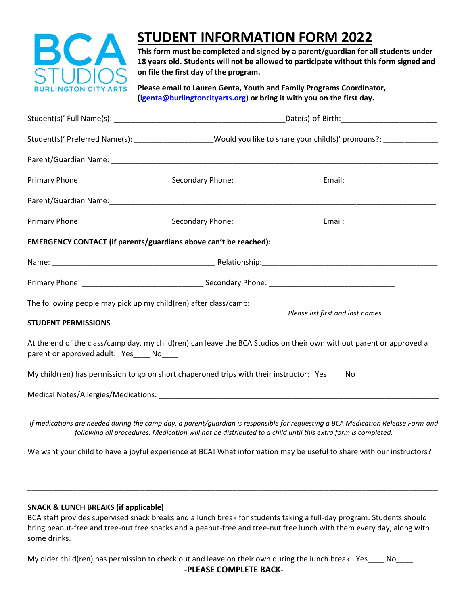

## **STUDENT INFORMATION FORM 2022**

**This form must be completed and signed by a parent/guardian for all students under 18 years old. Students will not be allowed to participate without this form signed and on file the first day of the program.**

**Please email to Lauren Genta, Youth and Family Programs Coordinator, [\(lgenta@burlingtoncityarts.org\)](mailto:lgenta@burlingtoncityarts.org) or bring it with you on the first day.**

|                                                                                                 | _Date(s)-of-Birth:_____________________________                                                                  |                                                                                                                                  |  |
|-------------------------------------------------------------------------------------------------|------------------------------------------------------------------------------------------------------------------|----------------------------------------------------------------------------------------------------------------------------------|--|
|                                                                                                 | Student(s)' Preferred Name(s): ____________________Would you like to share your child(s)' pronouns?: ___________ |                                                                                                                                  |  |
|                                                                                                 |                                                                                                                  |                                                                                                                                  |  |
|                                                                                                 |                                                                                                                  |                                                                                                                                  |  |
|                                                                                                 |                                                                                                                  |                                                                                                                                  |  |
|                                                                                                 |                                                                                                                  |                                                                                                                                  |  |
| EMERGENCY CONTACT (if parents/guardians above can't be reached):                                |                                                                                                                  |                                                                                                                                  |  |
|                                                                                                 |                                                                                                                  |                                                                                                                                  |  |
|                                                                                                 |                                                                                                                  |                                                                                                                                  |  |
|                                                                                                 |                                                                                                                  |                                                                                                                                  |  |
| <b>STUDENT PERMISSIONS</b>                                                                      |                                                                                                                  | Please list first and last names.                                                                                                |  |
| parent or approved adult: Yes No                                                                |                                                                                                                  | At the end of the class/camp day, my child(ren) can leave the BCA Studios on their own without parent or approved a              |  |
| My child(ren) has permission to go on short chaperoned trips with their instructor: Yes ____ No |                                                                                                                  |                                                                                                                                  |  |
|                                                                                                 |                                                                                                                  |                                                                                                                                  |  |
|                                                                                                 | following all procedures. Medication will not be distributed to a child until this extra form is completed.      | If medications are needed during the camp day, a parent/quardian is responsible for requesting a BCA Medication Release Form and |  |
|                                                                                                 |                                                                                                                  | We want your child to have a joyful experience at BCA! What information may be useful to share with our instructors?             |  |

## **SNACK & LUNCH BREAKS (if applicable)**

BCA staff provides supervised snack breaks and a lunch break for students taking a full-day program. Students should bring peanut-free and tree-nut free snacks and a peanut-free and tree-nut free lunch with them every day, along with some drinks.

\_\_\_\_\_\_\_\_\_\_\_\_\_\_\_\_\_\_\_\_\_\_\_\_\_\_\_\_\_\_\_\_\_\_\_\_\_\_\_\_\_\_\_\_\_\_\_\_\_\_\_\_\_\_\_\_\_\_\_\_\_\_\_\_\_\_\_\_\_\_\_\_\_\_\_\_\_\_\_\_\_\_\_\_\_\_\_\_\_\_\_\_\_\_\_\_\_\_

\_\_\_\_\_\_\_\_\_\_\_\_\_\_\_\_\_\_\_\_\_\_\_\_\_\_\_\_\_\_\_\_\_\_\_\_\_\_\_\_\_\_\_\_\_\_\_\_\_\_\_\_\_\_\_\_\_\_\_\_\_\_\_\_\_\_\_\_\_\_\_\_\_\_\_\_\_\_\_\_\_\_\_\_\_\_\_\_\_\_\_\_\_\_\_\_\_\_

My older child(ren) has permission to check out and leave on their own during the lunch break: Yes\_\_\_\_ No\_\_\_\_ **-PLEASE COMPLETE BACK-**